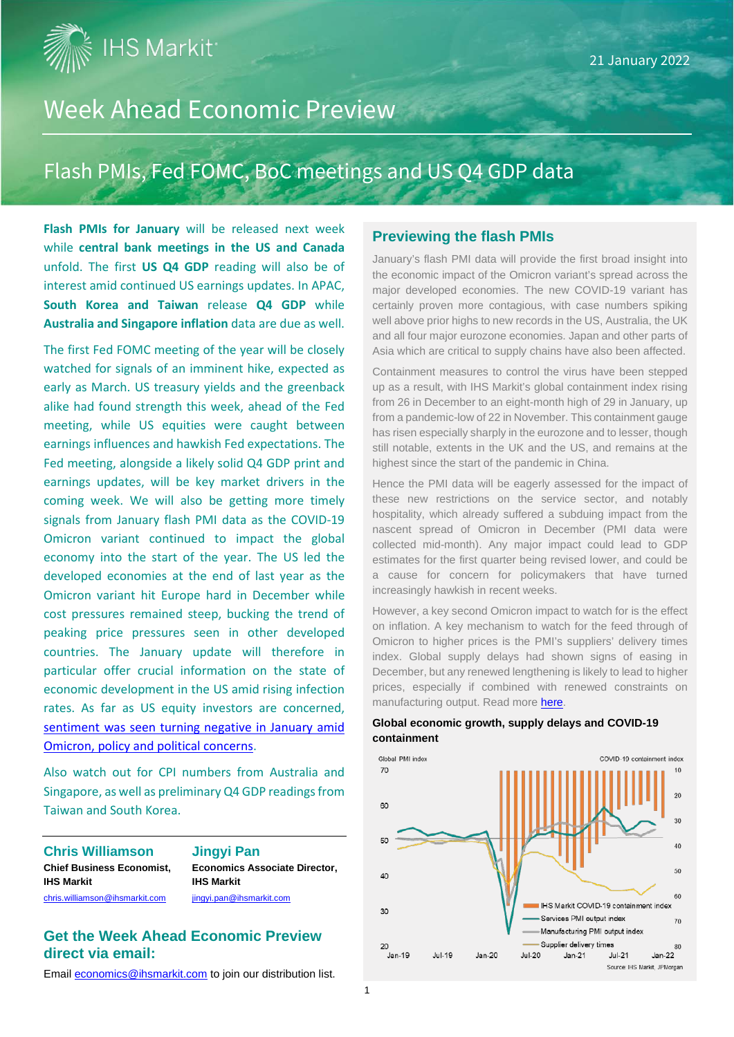**IHS Markit<sup>®</sup>** 

# Week Ahead Economic Preview

# Flash PMIs, Fed FOMC, BoC meetings and US Q4 GDP data

**Flash PMIs for January** will be released next week while **central bank meetings in the US and Canada** unfold. The first **US Q4 GDP** reading will also be of interest amid continued US earnings updates. In APAC, **South Korea and Taiwan** release **Q4 GDP** while **Australia and Singapore inflation** data are due as well.

The first Fed FOMC meeting of the year will be closely watched for signals of an imminent hike, expected as early as March. US treasury yields and the greenback alike had found strength this week, ahead of the Fed meeting, while US equities were caught between earnings influences and hawkish Fed expectations. The Fed meeting, alongside a likely solid Q4 GDP print and earnings updates, will be key market drivers in the coming week. We will also be getting more timely signals from January flash PMI data as the COVID-19 Omicron variant continued to impact the global economy into the start of the year. The US led the developed economies at the end of last year as the Omicron variant hit Europe hard in December while cost pressures remained steep, bucking the trend of peaking price pressures seen in other developed countries. The January update will therefore in particular offer crucial information on the state of economic development in the US amid rising infection rates. As far as US equity investors are concerned, [sentiment was seen turning negative in January amid](https://www.markiteconomics.com/Public/Home/PressRelease/7d20dc8f4dd04fa480391f2328b7f01c)  [Omicron, policy and political concerns.](https://www.markiteconomics.com/Public/Home/PressRelease/7d20dc8f4dd04fa480391f2328b7f01c)

Also watch out for CPI numbers from Australia and Singapore, as well as preliminary Q4 GDP readings from Taiwan and South Korea.

**Chris Williamson Jingyi Pan Chief Business Economist, Economics Associate Director, IHS Markit IHS Markit** [chris.williamson@ihsmarkit.com](mailto:chris.williamson@ihsmarkit.com) ingyi.pan@ihsmarkit.com

#### **Get the Week Ahead Economic Preview direct via email:**

Emai[l economics@ihsmarkit.com](mailto:economics@ihsmarkit.com) to join our distribution list.

#### **Previewing the flash PMIs**

January's flash PMI data will provide the first broad insight into the economic impact of the Omicron variant's spread across the major developed economies. The new COVID-19 variant has certainly proven more contagious, with case numbers spiking well above prior highs to new records in the US, Australia, the UK and all four major eurozone economies. Japan and other parts of Asia which are critical to supply chains have also been affected.

Containment measures to control the virus have been stepped up as a result, with IHS Markit's global containment index rising from 26 in December to an eight-month high of 29 in January, up from a pandemic-low of 22 in November. This containment gauge has risen especially sharply in the eurozone and to lesser, though still notable, extents in the UK and the US, and remains at the highest since the start of the pandemic in China.

Hence the PMI data will be eagerly assessed for the impact of these new restrictions on the service sector, and notably hospitality, which already suffered a subduing impact from the nascent spread of Omicron in December (PMI data were collected mid-month). Any major impact could lead to GDP estimates for the first quarter being revised lower, and could be a cause for concern for policymakers that have turned increasingly hawkish in recent weeks.

However, a key second Omicron impact to watch for is the effect on inflation. A key mechanism to watch for the feed through of Omicron to higher prices is the PMI's suppliers' delivery times index. Global supply delays had shown signs of easing in December, but any renewed lengthening is likely to lead to higher prices, especially if combined with renewed constraints on manufacturing output. Read more [here.](https://ihsmarkit.com/research-analysis/pmi-survey-data-to-reveal-omicron-impact-around-the-world-Jan22.html)



#### **Global economic growth, supply delays and COVID-19 containment**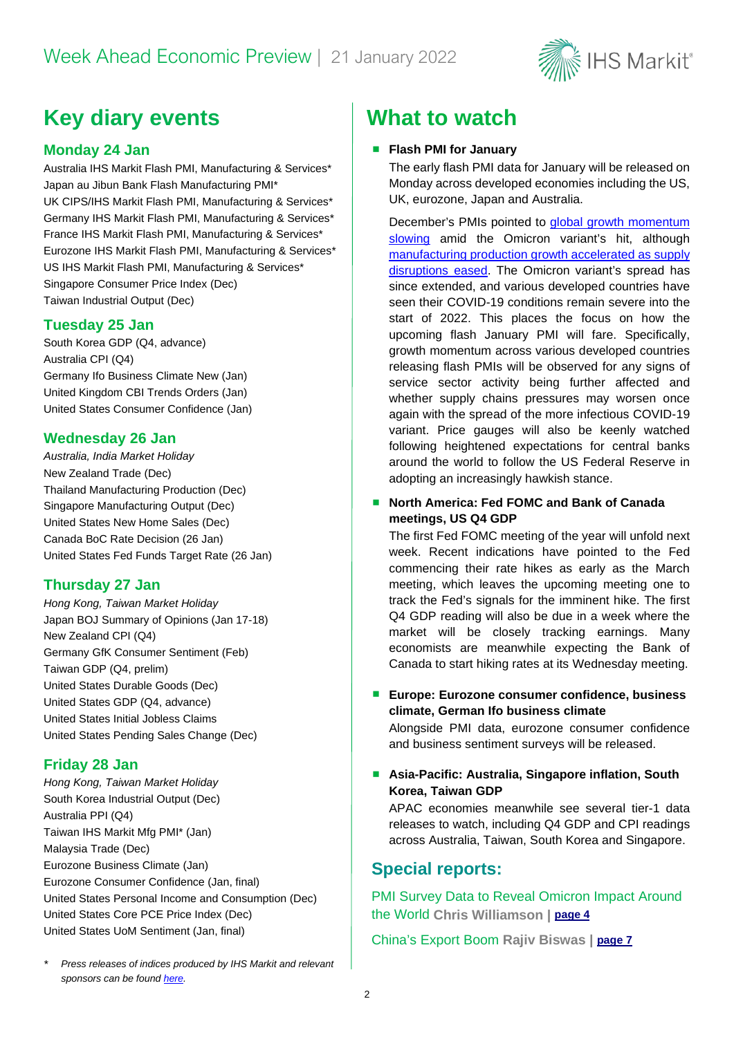

# **Key diary events What to watch**

#### **Monday 24 Jan**

Australia IHS Markit Flash PMI, Manufacturing & Services\* Japan au Jibun Bank Flash Manufacturing PMI\* UK CIPS/IHS Markit Flash PMI, Manufacturing & Services\* Germany IHS Markit Flash PMI, Manufacturing & Services\* France IHS Markit Flash PMI, Manufacturing & Services\* Eurozone IHS Markit Flash PMI, Manufacturing & Services\* US IHS Markit Flash PMI, Manufacturing & Services\* Singapore Consumer Price Index (Dec) Taiwan Industrial Output (Dec)

#### **Tuesday 25 Jan**

South Korea GDP (Q4, advance) Australia CPI (Q4) Germany Ifo Business Climate New (Jan) United Kingdom CBI Trends Orders (Jan) United States Consumer Confidence (Jan)

#### **Wednesday 26 Jan**

*Australia, India Market Holiday*  New Zealand Trade (Dec) Thailand Manufacturing Production (Dec) Singapore Manufacturing Output (Dec) United States New Home Sales (Dec) Canada BoC Rate Decision (26 Jan) United States Fed Funds Target Rate (26 Jan)

#### **Thursday 27 Jan**

*Hong Kong, Taiwan Market Holiday* Japan BOJ Summary of Opinions (Jan 17-18) New Zealand CPI (Q4) Germany GfK Consumer Sentiment (Feb) Taiwan GDP (Q4, prelim) United States Durable Goods (Dec) United States GDP (Q4, advance) United States Initial Jobless Claims United States Pending Sales Change (Dec)

#### **Friday 28 Jan**

*Hong Kong, Taiwan Market Holiday* South Korea Industrial Output (Dec) Australia PPI (Q4) Taiwan IHS Markit Mfg PMI\* (Jan) Malaysia Trade (Dec) Eurozone Business Climate (Jan) Eurozone Consumer Confidence (Jan, final) United States Personal Income and Consumption (Dec) United States Core PCE Price Index (Dec) United States UoM Sentiment (Jan, final)

#### **Flash PMI for January**

The early flash PMI data for January will be released on Monday across developed economies including the US, UK, eurozone, Japan and Australia.

December's PMIs pointed to [global growth momentum](https://ihsmarkit.com/research-analysis/global-economic-growth-hit-by-omicron-but-supply-tensions-ease-Jan22.html)  [slowing](https://ihsmarkit.com/research-analysis/global-economic-growth-hit-by-omicron-but-supply-tensions-ease-Jan22.html) amid the Omicron variant's hit, although [manufacturing production growth accelerated](https://ihsmarkit.com/research-analysis/global-manufacturing-production-growth-accelerates-Jan22.html) as supply [disruptions](https://ihsmarkit.com/research-analysis/global-manufacturing-production-growth-accelerates-Jan22.html) eased. The Omicron variant's spread has since extended, and various developed countries have seen their COVID-19 conditions remain severe into the start of 2022. This places the focus on how the upcoming flash January PMI will fare. Specifically, growth momentum across various developed countries releasing flash PMIs will be observed for any signs of service sector activity being further affected and whether supply chains pressures may worsen once again with the spread of the more infectious COVID-19 variant. Price gauges will also be keenly watched following heightened expectations for central banks around the world to follow the US Federal Reserve in adopting an increasingly hawkish stance.

#### ■ North America: Fed FOMC and Bank of Canada **meetings, US Q4 GDP**

The first Fed FOMC meeting of the year will unfold next week. Recent indications have pointed to the Fed commencing their rate hikes as early as the March meeting, which leaves the upcoming meeting one to track the Fed's signals for the imminent hike. The first Q4 GDP reading will also be due in a week where the market will be closely tracking earnings. Many economists are meanwhile expecting the Bank of Canada to start hiking rates at its Wednesday meeting.

#### **Europe: Eurozone consumer confidence, business climate, German Ifo business climate**

Alongside PMI data, eurozone consumer confidence and business sentiment surveys will be released.

#### **Asia-Pacific: Australia, Singapore inflation, South Korea, Taiwan GDP**

APAC economies meanwhile see several tier-1 data releases to watch, including Q4 GDP and CPI readings across Australia, Taiwan, South Korea and Singapore.

## **Special reports:**

PMI Survey Data to Reveal Omicron Impact Around the World **Chris Williamson | [page 4](#page-3-0)**

China's Export Boom **Rajiv Biswas | [page 7](#page-6-0)**

*\* Press releases of indices produced by IHS Markit and relevant sponsors can be found [here.](https://www.markiteconomics.com/Public/Release/PressReleases)*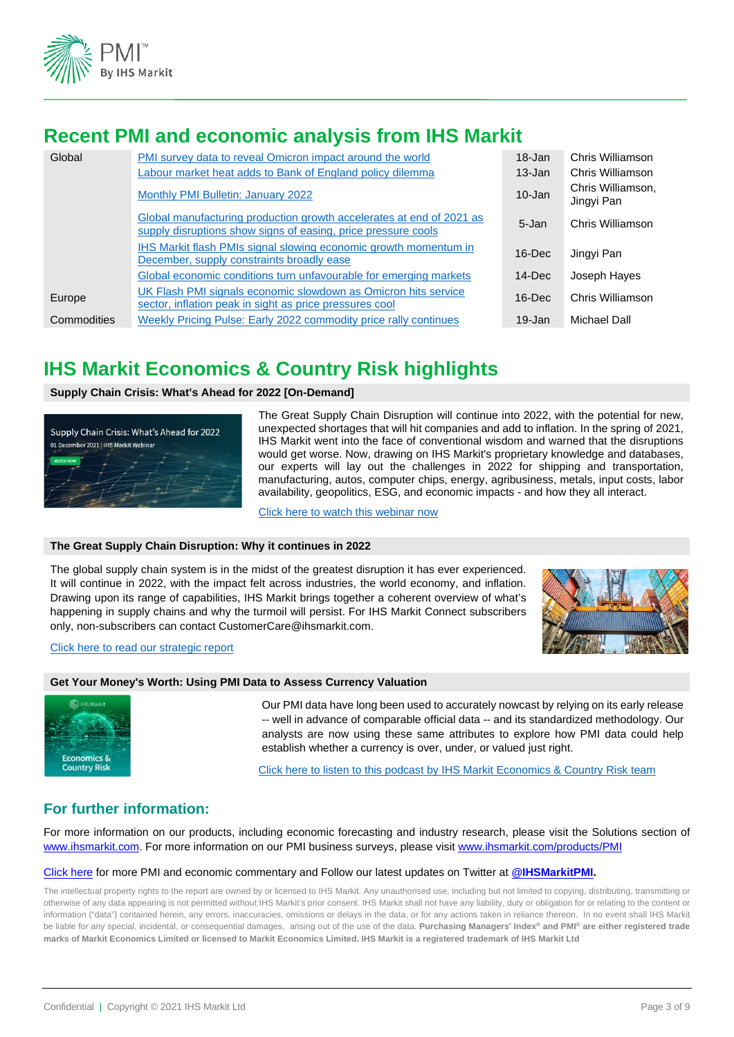

## **Recent PMI and economic analysis from IHS Markit**

| Global      | PMI survey data to reveal Omicron impact around the world<br><b>Labour market heat adds to Bank of England policy dilemma</b>         | 18-Jan<br>$13 - Jan$ | Chris Williamson<br>Chris Williamson |
|-------------|---------------------------------------------------------------------------------------------------------------------------------------|----------------------|--------------------------------------|
|             | Monthly PMI Bulletin: January 2022                                                                                                    | $10 - Jan$           | Chris Williamson,<br>Jingyi Pan      |
|             | Global manufacturing production growth accelerates at end of 2021 as<br>supply disruptions show signs of easing, price pressure cools | 5-Jan                | Chris Williamson                     |
|             | IHS Markit flash PMIs signal slowing economic growth momentum in<br>December, supply constraints broadly ease                         | $16$ -Dec            | Jingyi Pan                           |
|             | Global economic conditions turn unfavourable for emerging markets                                                                     | $14$ -Dec            | Joseph Hayes                         |
| Europe      | UK Flash PMI signals economic slowdown as Omicron hits service<br>sector, inflation peak in sight as price pressures cool             | $16$ -Dec            | Chris Williamson                     |
| Commodities | Weekly Pricing Pulse: Early 2022 commodity price rally continues                                                                      | $19 - Jan$           | Michael Dall                         |

## **IHS Markit Economics & Country Risk highlights**

#### **Supply Chain Crisis: What's Ahead for 2022 [On-Demand]**



The Great Supply Chain Disruption will continue into 2022, with the potential for new, unexpected shortages that will hit companies and add to inflation. In the spring of 2021, IHS Markit went into the face of conventional wisdom and warned that the disruptions would get worse. Now, drawing on IHS Markit's proprietary knowledge and databases, our experts will lay out the challenges in 2022 for shipping and transportation, manufacturing, autos, computer chips, energy, agribusiness, metals, input costs, labor availability, geopolitics, ESG, and economic impacts - and how they all interact.

[Click here to watch this webinar n](https://ihsmarkit.com/events/supply-chain-crisis-whats-ahead-for-2022/overview.html?utm_campaign=PC021315&utm_medium=social-network&utm_source=linkedinondemand)ow

#### **The Great Supply Chain Disruption: Why it continues in 2022**

The global supply chain system is in the midst of the greatest disruption it has ever experienced. It will continue in 2022, with the impact felt across industries, the world economy, and inflation. Drawing upon its range of capabilities, IHS Markit brings together a coherent overview of what's happening in supply chains and why the turmoil will persist. For IHS Markit Connect subscribers only, non-subscribers can contact CustomerCare@ihsmarkit.com.



#### [Click here to read our strategic report](https://connect.ihsmarkit.com/home#/viewer/default/%2FDocument%2FShow%2Fphoenix%2F4273181%3FconnectPath%3DLandingPage.FeaturedResearch)

#### **Get Your Money's Worth: Using PMI Data to Assess Currency Valuation**



Our PMI data have long been used to accurately nowcast by relying on its early release -- well in advance of comparable official data -- and its standardized methodology. Our analysts are now using these same attributes to explore how PMI data could help establish whether a currency is over, under, or valued just right.

[Click here to listen to this podcast by IHS Markit Economics & Country Risk team](https://ihsmarkit.com/podcasts/ecr.html?t=Purchasing%20Managers%E2%80%99%20Index%20(PMI))

#### **For further information:**

For more information on our products, including economic forecasting and industry research, please visit the Solutions section of [www.ihsmarkit.com.](http://www.ihsmarkit.com/) For more information on our PMI business surveys, please visi[t www.ihsmarkit.com/products/PMI](http://www.ihsmarkit.com/products/PMI)

#### [Click here](https://ihsmarkit.com/research-analysis/pmi.html) for more PMI and economic commentary and Follow our latest updates on Twitter at **[@IHSMarkitPMI.](https://twitter.com/IHSMarkitPMI)**

The intellectual property rights to the report are owned by or licensed to IHS Markit. Any unauthorised use, including but not limited to copying, distributing, transmitting or otherwise of any data appearing is not permitted without IHS Markit's prior consent. IHS Markit shall not have any liability, duty or obligation for or relating to the content or information ("data") contained herein, any errors, inaccuracies, omissions or delays in the data, or for any actions taken in reliance thereon. In no event shall IHS Markit be liable for any special, incidental, or consequential damages, arising out of the use of the data. **Purchasing Managers' Index® and PMI® are either registered trade marks of Markit Economics Limited or licensed to Markit Economics Limited. IHS Markit is a registered trademark of IHS Markit Ltd**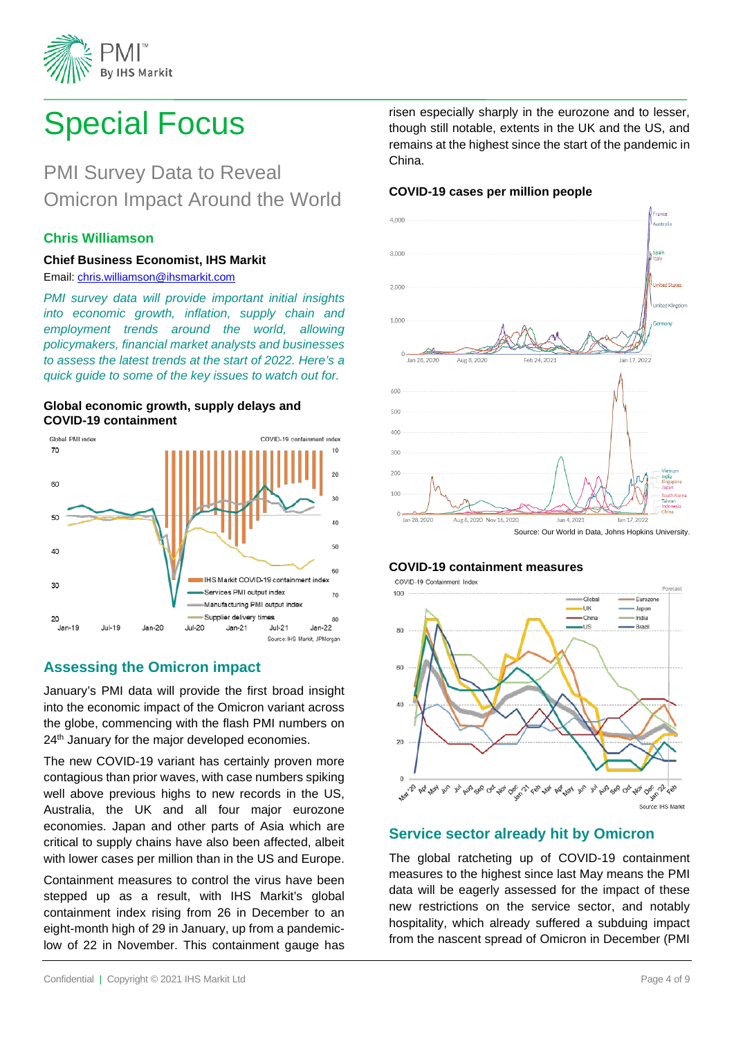

# Special Focus

# PMI Survey Data to Reveal Omicron Impact Around the World

#### **Chris Williamson**

#### **Chief Business Economist, IHS Markit**  Email: chris.williamson@ihsmarkit.com

*PMI survey data will provide important initial insights into economic growth, inflation, supply chain and employment trends around the world, allowing policymakers, financial market analysts and businesses to assess the latest trends at the start of 2022. Here's a quick guide to some of the key issues to watch out for.*

#### **Global economic growth, supply delays and COVID-19 containment**



## <span id="page-3-0"></span>**Assessing the Omicron impact**

January's PMI data will provide the first broad insight into the economic impact of the Omicron variant across the globe, commencing with the flash PMI numbers on 24<sup>th</sup> January for the major developed economies.

The new COVID-19 variant has certainly proven more contagious than prior waves, with case numbers spiking well above previous highs to new records in the US, Australia, the UK and all four major eurozone economies. Japan and other parts of Asia which are critical to supply chains have also been affected, albeit with lower cases per million than in the US and Europe.

Containment measures to control the virus have been stepped up as a result, with IHS Markit's global containment index rising from 26 in December to an eight-month high of 29 in January, up from a pandemiclow of 22 in November. This containment gauge has

risen especially sharply in the eurozone and to lesser, though still notable, extents in the UK and the US, and remains at the highest since the start of the pandemic in China.

#### **COVID-19 cases per million people**



#### **COVID-19 containment measures**



#### **Service sector already hit by Omicron**

The global ratcheting up of COVID-19 containment measures to the highest since last May means the PMI data will be eagerly assessed for the impact of these new restrictions on the service sector, and notably hospitality, which already suffered a subduing impact from the nascent spread of Omicron in December (PMI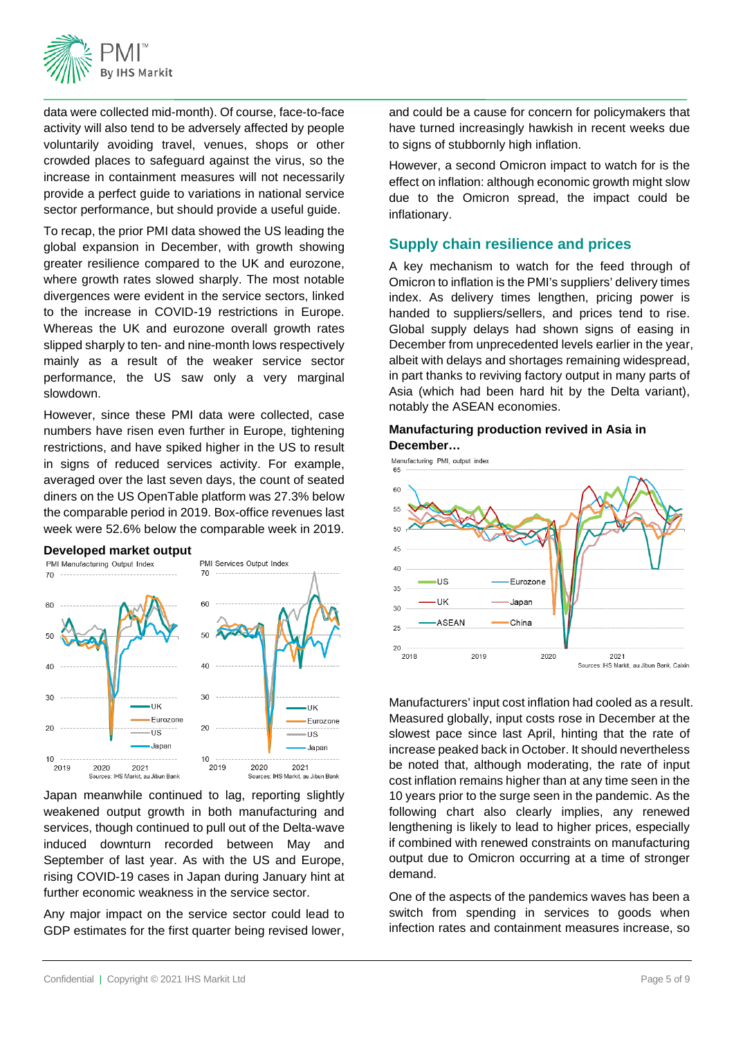

data were collected mid-month). Of course, face-to-face activity will also tend to be adversely affected by people voluntarily avoiding travel, venues, shops or other crowded places to safeguard against the virus, so the increase in containment measures will not necessarily provide a perfect guide to variations in national service sector performance, but should provide a useful guide.

To recap, the prior PMI data showed the US leading the global expansion in December, with growth showing greater resilience compared to the UK and eurozone, where growth rates slowed sharply. The most notable divergences were evident in the service sectors, linked to the increase in COVID-19 restrictions in Europe. Whereas the UK and eurozone overall growth rates slipped sharply to ten- and nine-month lows respectively mainly as a result of the weaker service sector performance, the US saw only a very marginal slowdown.

However, since these PMI data were collected, case numbers have risen even further in Europe, tightening restrictions, and have spiked higher in the US to result in signs of reduced services activity. For example, averaged over the last seven days, the count of seated diners on the US OpenTable platform was 27.3% below the comparable period in 2019. Box-office revenues last week were 52.6% below the comparable week in 2019.





Japan meanwhile continued to lag, reporting slightly weakened output growth in both manufacturing and services, though continued to pull out of the Delta-wave induced downturn recorded between May and September of last year. As with the US and Europe, rising COVID-19 cases in Japan during January hint at further economic weakness in the service sector.

Any major impact on the service sector could lead to GDP estimates for the first quarter being revised lower,

and could be a cause for concern for policymakers that have turned increasingly hawkish in recent weeks due to signs of stubbornly high inflation.

However, a second Omicron impact to watch for is the effect on inflation: although economic growth might slow due to the Omicron spread, the impact could be inflationary.

## **Supply chain resilience and prices**

A key mechanism to watch for the feed through of Omicron to inflation is the PMI's suppliers' delivery times index. As delivery times lengthen, pricing power is handed to suppliers/sellers, and prices tend to rise. Global supply delays had shown signs of easing in December from unprecedented levels earlier in the year, albeit with delays and shortages remaining widespread, in part thanks to reviving factory output in many parts of Asia (which had been hard hit by the Delta variant), notably the ASEAN economies.

#### **Manufacturing production revived in Asia in December…**



Manufacturers' input cost inflation had cooled as a result. Measured globally, input costs rose in December at the slowest pace since last April, hinting that the rate of increase peaked back in October. It should nevertheless be noted that, although moderating, the rate of input cost inflation remains higher than at any time seen in the 10 years prior to the surge seen in the pandemic. As the following chart also clearly implies, any renewed lengthening is likely to lead to higher prices, especially if combined with renewed constraints on manufacturing output due to Omicron occurring at a time of stronger demand.

One of the aspects of the pandemics waves has been a switch from spending in services to goods when infection rates and containment measures increase, so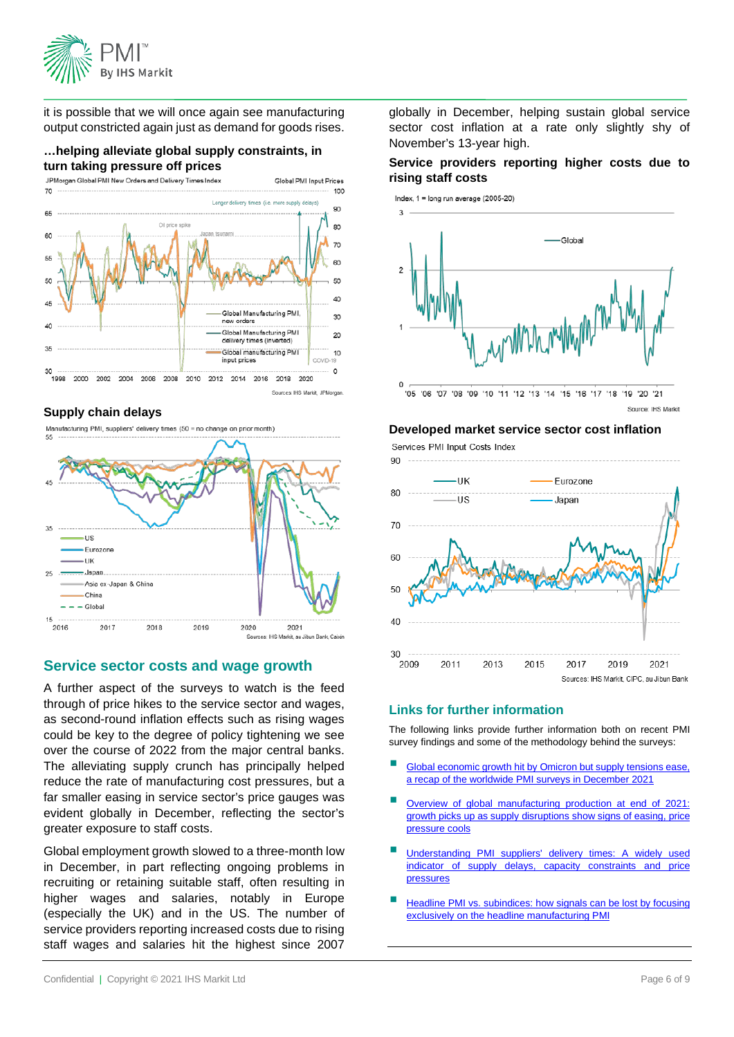

it is possible that we will once again see manufacturing output constricted again just as demand for goods rises.

Global PMI Input Prices

## **…helping alleviate global supply constraints, in turn taking pressure off prices**<br>JPMorgan Global PMI New Orders and Delivery Times Index



#### **Supply chain delays**

Manufacturing PMI, suppliers' delivery times (50 = no change on prior month)



#### **Service sector costs and wage growth**

A further aspect of the surveys to watch is the feed through of price hikes to the service sector and wages, as second-round inflation effects such as rising wages could be key to the degree of policy tightening we see over the course of 2022 from the major central banks. The alleviating supply crunch has principally helped reduce the rate of manufacturing cost pressures, but a far smaller easing in service sector's price gauges was evident globally in December, reflecting the sector's greater exposure to staff costs.

Global employment growth slowed to a three-month low in December, in part reflecting ongoing problems in recruiting or retaining suitable staff, often resulting in higher wages and salaries, notably in Europe (especially the UK) and in the US. The number of service providers reporting increased costs due to rising staff wages and salaries hit the highest since 2007

globally in December, helping sustain global service sector cost inflation at a rate only slightly shy of November's 13-year high.

#### **Service providers reporting higher costs due to rising staff costs**



#### **Developed market service sector cost inflation**

Services PMI Input Costs Index



#### **Links for further information**

The following links provide further information both on recent PMI survey findings and some of the methodology behind the surveys:

- [Global economic growth hit by Omicron but supply tensions ease,](https://ihsmarkit.com/research-analysis/global-economic-growth-hit-by-omicron-but-supply-tensions-ease-Jan22.html)  [a recap of the worldwide PMI surveys in December 2021](https://ihsmarkit.com/research-analysis/global-economic-growth-hit-by-omicron-but-supply-tensions-ease-Jan22.html)
- [Overview of global manufacturing production at end of 2021:](https://ihsmarkit.com/research-analysis/global-manufacturing-production-growth-accelerates-Jan22.html)  [growth picks up as supply disruptions show signs of easing, price](https://ihsmarkit.com/research-analysis/global-manufacturing-production-growth-accelerates-Jan22.html)  [pressure cools](https://ihsmarkit.com/research-analysis/global-manufacturing-production-growth-accelerates-Jan22.html)
- [Understanding PMI suppliers' delivery times: A widely used](https://ihsmarkit.com/research-analysis/understanding--pmi-suppliers-delivery-times-a-widely-used-indicator-of-supply-delays-capacity-constraints-and-price-pressures-Jul21.html)  [indicator of supply delays, capacity constraints and price](https://ihsmarkit.com/research-analysis/understanding--pmi-suppliers-delivery-times-a-widely-used-indicator-of-supply-delays-capacity-constraints-and-price-pressures-Jul21.html)  [pressures](https://ihsmarkit.com/research-analysis/understanding--pmi-suppliers-delivery-times-a-widely-used-indicator-of-supply-delays-capacity-constraints-and-price-pressures-Jul21.html)
- [Headline PMI vs. subindices: how signals can be lost by focusing](https://ihsmarkit.com/research-analysis/understanding--headline-pmi-vs.-subindices-how-signals-can-be-lost-by-focusing-exclusively-on-the-headline-pmi.html)  [exclusively on the headline manufacturing PMI](https://ihsmarkit.com/research-analysis/understanding--headline-pmi-vs.-subindices-how-signals-can-be-lost-by-focusing-exclusively-on-the-headline-pmi.html)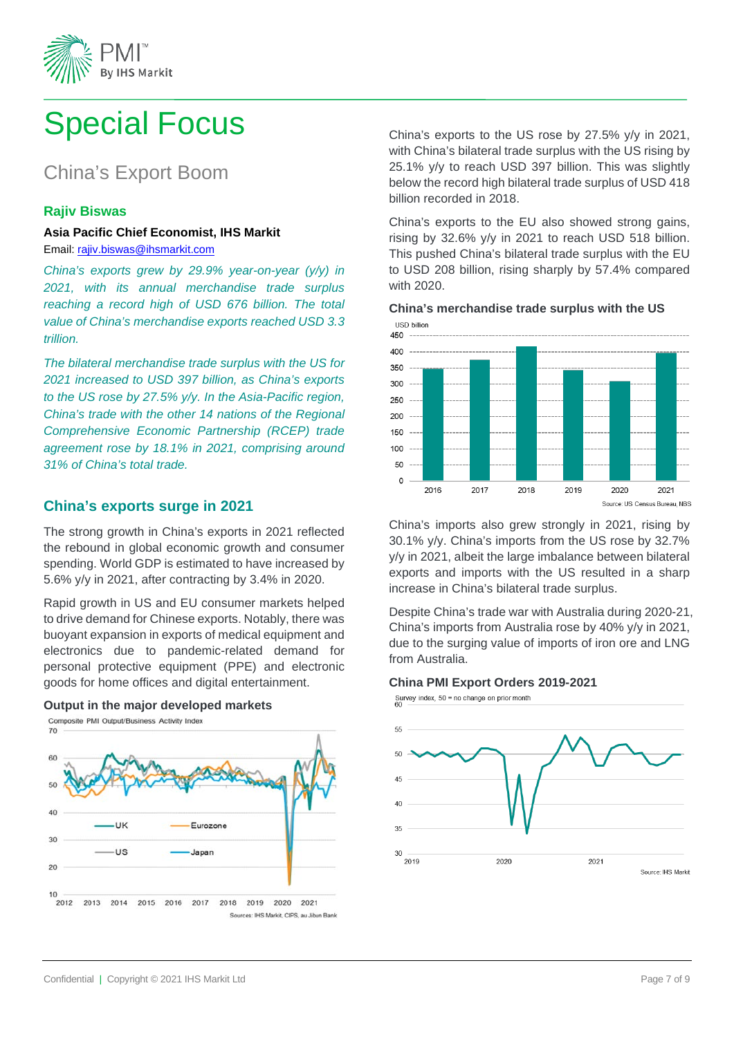

# Special Focus

# China's Export Boom

#### **Rajiv Biswas**

#### **Asia Pacific Chief Economist, IHS Markit**

Email: [rajiv.biswas@ihsmarkit.com](mailto:rajiv.biswas@ihsmarkit.com)

<span id="page-6-0"></span>*China's exports grew by 29.9% year-on-year (y/y) in 2021, with its annual merchandise trade surplus reaching a record high of USD 676 billion. The total value of China's merchandise exports reached USD 3.3 trillion.* 

*The bilateral merchandise trade surplus with the US for 2021 increased to USD 397 billion, as China's exports to the US rose by 27.5% y/y. In the Asia-Pacific region, China's trade with the other 14 nations of the Regional Comprehensive Economic Partnership (RCEP) trade agreement rose by 18.1% in 2021, comprising around 31% of China's total trade.*

#### **China's exports surge in 2021**

The strong growth in China's exports in 2021 reflected the rebound in global economic growth and consumer spending. World GDP is estimated to have increased by 5.6% y/y in 2021, after contracting by 3.4% in 2020.

Rapid growth in US and EU consumer markets helped to drive demand for Chinese exports. Notably, there was buoyant expansion in exports of medical equipment and electronics due to pandemic-related demand for personal protective equipment (PPE) and electronic goods for home offices and digital entertainment.

# **Output in the major developed markets**<br> **Composite PMI Output/Business Activity Index**



China's exports to the US rose by 27.5% y/y in 2021, with China's bilateral trade surplus with the US rising by 25.1% y/y to reach USD 397 billion. This was slightly below the record high bilateral trade surplus of USD 418 billion recorded in 2018.

China's exports to the EU also showed strong gains, rising by 32.6% y/y in 2021 to reach USD 518 billion. This pushed China's bilateral trade surplus with the EU to USD 208 billion, rising sharply by 57.4% compared with 2020.



China's imports also grew strongly in 2021, rising by 30.1% y/y. China's imports from the US rose by 32.7% y/y in 2021, albeit the large imbalance between bilateral exports and imports with the US resulted in a sharp increase in China's bilateral trade surplus.

Despite China's trade war with Australia during 2020-21, China's imports from Australia rose by 40% y/y in 2021, due to the surging value of imports of iron ore and LNG from Australia.

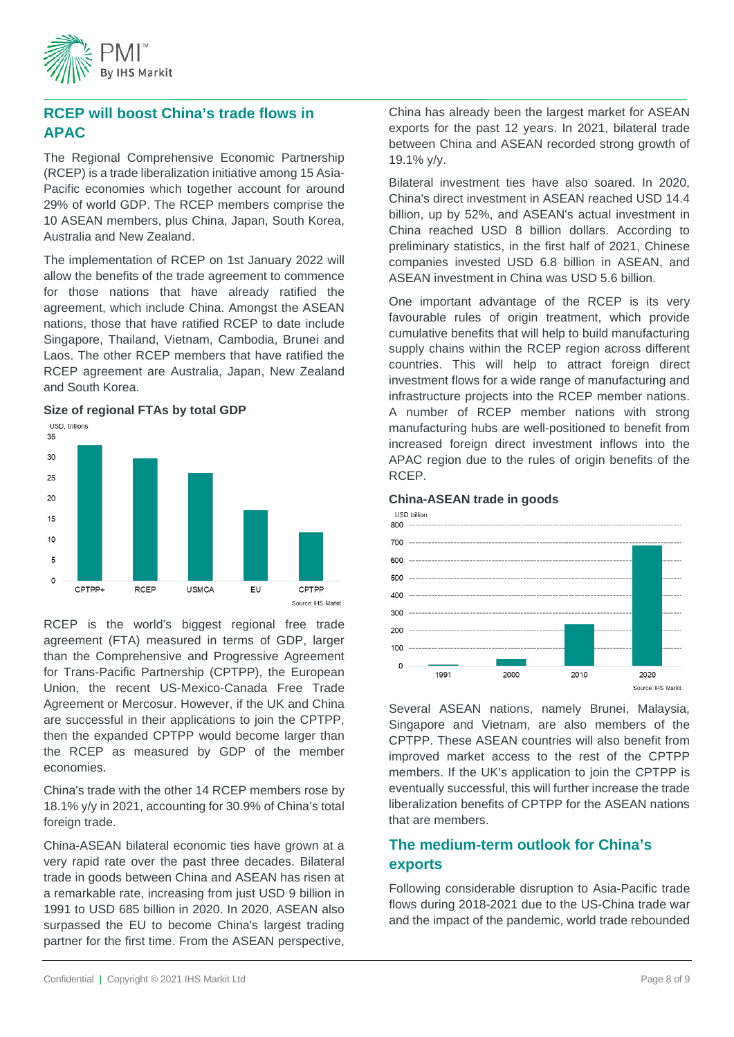

#### **RCEP will boost China's trade flows in APAC**

The Regional Comprehensive Economic Partnership (RCEP) is a trade liberalization initiative among 15 Asia-Pacific economies which together account for around 29% of world GDP. The RCEP members comprise the 10 ASEAN members, plus China, Japan, South Korea, Australia and New Zealand.

The implementation of RCEP on 1st January 2022 will allow the benefits of the trade agreement to commence for those nations that have already ratified the agreement, which include China. Amongst the ASEAN nations, those that have ratified RCEP to date include Singapore, Thailand, Vietnam, Cambodia, Brunei and Laos. The other RCEP members that have ratified the RCEP agreement are Australia, Japan, New Zealand and South Korea.



RCEP is the world's biggest regional free trade agreement (FTA) measured in terms of GDP, larger than the Comprehensive and Progressive Agreement for Trans-Pacific Partnership (CPTPP), the European Union, the recent US-Mexico-Canada Free Trade Agreement or Mercosur. However, if the UK and China are successful in their applications to join the CPTPP, then the expanded CPTPP would become larger than the RCEP as measured by GDP of the member economies.

China's trade with the other 14 RCEP members rose by 18.1% y/y in 2021, accounting for 30.9% of China's total foreign trade.

China-ASEAN bilateral economic ties have grown at a very rapid rate over the past three decades. Bilateral trade in goods between China and ASEAN has risen at a remarkable rate, increasing from just USD 9 billion in 1991 to USD 685 billion in 2020. In 2020, ASEAN also surpassed the EU to become China's largest trading partner for the first time. From the ASEAN perspective,

China has already been the largest market for ASEAN exports for the past 12 years. In 2021, bilateral trade between China and ASEAN recorded strong growth of 19.1% y/y.

Bilateral investment ties have also soared. In 2020, China's direct investment in ASEAN reached USD 14.4 billion, up by 52%, and ASEAN's actual investment in China reached USD 8 billion dollars. According to preliminary statistics, in the first half of 2021, Chinese companies invested USD 6.8 billion in ASEAN, and ASEAN investment in China was USD 5.6 billion.

One important advantage of the RCEP is its very favourable rules of origin treatment, which provide cumulative benefits that will help to build manufacturing supply chains within the RCEP region across different countries. This will help to attract foreign direct investment flows for a wide range of manufacturing and infrastructure projects into the RCEP member nations. A number of RCEP member nations with strong manufacturing hubs are well-positioned to benefit from increased foreign direct investment inflows into the APAC region due to the rules of origin benefits of the RCEP.

#### **China-ASEAN trade in goods**



Several ASEAN nations, namely Brunei, Malaysia, Singapore and Vietnam, are also members of the CPTPP. These ASEAN countries will also benefit from improved market access to the rest of the CPTPP members. If the UK's application to join the CPTPP is eventually successful, this will further increase the trade liberalization benefits of CPTPP for the ASEAN nations that are members.

#### **The medium-term outlook for China's exports**

Following considerable disruption to Asia-Pacific trade flows during 2018-2021 due to the US-China trade war and the impact of the pandemic, world trade rebounded